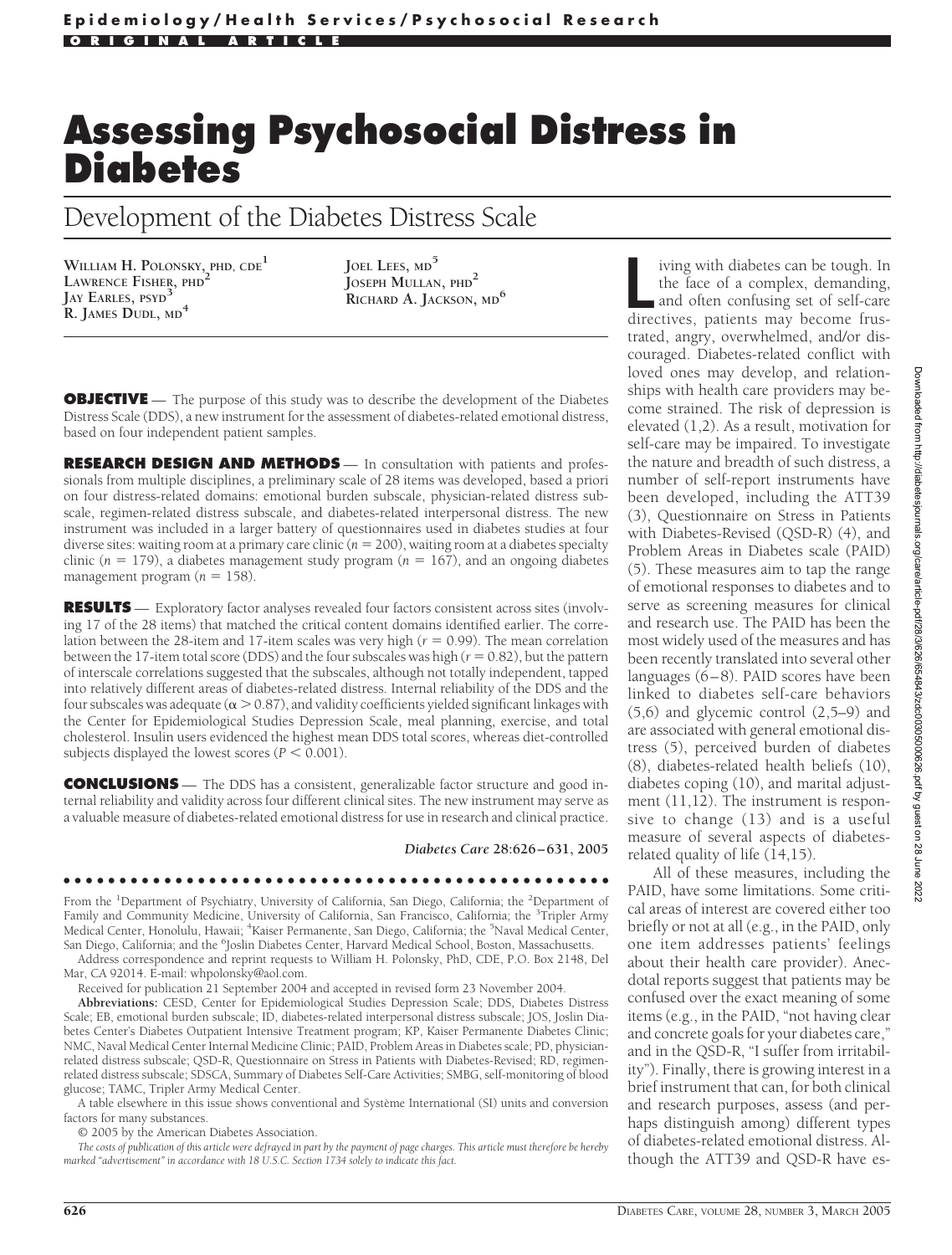# **Assessing Psychosocial Distress in Diabetes**

Development of the Diabetes Distress Scale

**WILLIAM H. POLONSKY, PHD, CDE1 LAWRENCE FISHER, PHD<sup>2</sup> JAY EARLES, PSYD<sup>3</sup> R. JAMES DUDL, MD<sup>4</sup>**

**JOEL LEES, MD<sup>5</sup> JOSEPH MULLAN, PHD<sup>2</sup> RICHARD A. JACKSON, MD<sup>6</sup>**

**OBJECTIVE** — The purpose of this study was to describe the development of the Diabetes Distress Scale (DDS), a new instrument for the assessment of diabetes-related emotional distress, based on four independent patient samples.

**RESEARCH DESIGN AND METHODS** — In consultation with patients and professionals from multiple disciplines, a preliminary scale of 28 items was developed, based a priori on four distress-related domains: emotional burden subscale, physician-related distress subscale, regimen-related distress subscale, and diabetes-related interpersonal distress. The new instrument was included in a larger battery of questionnaires used in diabetes studies at four diverse sites: waiting room at a primary care clinic  $(n = 200)$ , waiting room at a diabetes specialty clinic ( $n = 179$ ), a diabetes management study program ( $n = 167$ ), and an ongoing diabetes management program  $(n = 158)$ .

**RESULTS** — Exploratory factor analyses revealed four factors consistent across sites (involving 17 of the 28 items) that matched the critical content domains identified earlier. The correlation between the 28-item and 17-item scales was very high  $(r = 0.99)$ . The mean correlation between the 17-item total score (DDS) and the four subscales was high  $(r = 0.82)$ , but the pattern of interscale correlations suggested that the subscales, although not totally independent, tapped into relatively different areas of diabetes-related distress. Internal reliability of the DDS and the four subscales was adequate ( $\alpha$  > 0.87), and validity coefficients yielded significant linkages with the Center for Epidemiological Studies Depression Scale, meal planning, exercise, and total cholesterol. Insulin users evidenced the highest mean DDS total scores, whereas diet-controlled subjects displayed the lowest scores  $(P < 0.001)$ .

**CONCLUSIONS** — The DDS has a consistent, generalizable factor structure and good internal reliability and validity across four different clinical sites. The new instrument may serve as a valuable measure of diabetes-related emotional distress for use in research and clinical practice.

*Diabetes Care* **28:626–631, 2005**

#### ●●●●●●●●●●●●●●●●●●●●●●●●●●●●●●●●●●●●●●●●●●●●●●●●●

From the <sup>1</sup>Department of Psychiatry, University of California, San Diego, California; the <sup>2</sup>Department of Family and Community Medicine, University of California, San Francisco, California; the <sup>3</sup>Tripler Army Medical Center, Honolulu, Hawaii; <sup>4</sup>Kaiser Permanente, San Diego, California; the <sup>5</sup>Naval Medical Center, San Diego, California; and the <sup>6</sup>Joslin Diabetes Center, Harvard Medical School, Boston, Massachusetts.

Address correspondence and reprint requests to William H. Polonsky, PhD, CDE, P.O. Box 2148, Del Mar, CA 92014. E-mail: whpolonsky@aol.com.

Received for publication 21 September 2004 and accepted in revised form 23 November 2004.

**Abbreviations:** CESD, Center for Epidemiological Studies Depression Scale; DDS, Diabetes Distress Scale; EB, emotional burden subscale; ID, diabetes-related interpersonal distress subscale; JOS, Joslin Diabetes Center's Diabetes Outpatient Intensive Treatment program; KP, Kaiser Permanente Diabetes Clinic; NMC, Naval Medical Center Internal Medicine Clinic; PAID, Problem Areas in Diabetes scale; PD, physicianrelated distress subscale; QSD-R, Questionnaire on Stress in Patients with Diabetes-Revised; RD, regimenrelated distress subscale; SDSCA, Summary of Diabetes Self-Care Activities; SMBG, self-monitoring of blood glucose; TAMC, Tripler Army Medical Center.

A table elsewhere in this issue shows conventional and Système International (SI) units and conversion factors for many substances.

© 2005 by the American Diabetes Association.

*The costs of publication of this article were defrayed in part by the payment of page charges. This article must therefore be hereby marked "advertisement" in accordance with 18 U.S.C. Section 1734 solely to indicate this fact.*

iving with diabetes can be tough. In<br>the face of a complex, demanding,<br>and often confusing set of self-care<br>directives, patients may become frusiving with diabetes can be tough. In the face of a complex, demanding, and often confusing set of self-care trated, angry, overwhelmed, and/or discouraged. Diabetes-related conflict with loved ones may develop, and relationships with health care providers may become strained. The risk of depression is elevated (1,2). As a result, motivation for self-care may be impaired. To investigate the nature and breadth of such distress, a number of self-report instruments have been developed, including the ATT39 (3), Questionnaire on Stress in Patients with Diabetes-Revised (QSD-R) (4), and Problem Areas in Diabetes scale (PAID) (5). These measures aim to tap the range of emotional responses to diabetes and to serve as screening measures for clinical and research use. The PAID has been the most widely used of the measures and has been recently translated into several other languages (6–8). PAID scores have been linked to diabetes self-care behaviors (5,6) and glycemic control (2,5–9) and are associated with general emotional distress (5), perceived burden of diabetes (8), diabetes-related health beliefs (10), diabetes coping (10), and marital adjustment (11,12). The instrument is responsive to change (13) and is a useful measure of several aspects of diabetesrelated quality of life (14,15).

All of these measures, including the PAID, have some limitations. Some critical areas of interest are covered either too briefly or not at all (e.g., in the PAID, only one item addresses patients' feelings about their health care provider). Anecdotal reports suggest that patients may be confused over the exact meaning of some items (e.g., in the PAID, "not having clear and concrete goals for your diabetes care," and in the QSD-R, "I suffer from irritability"). Finally, there is growing interest in a brief instrument that can, for both clinical and research purposes, assess (and perhaps distinguish among) different types of diabetes-related emotional distress. Although the ATT39 and QSD-R have es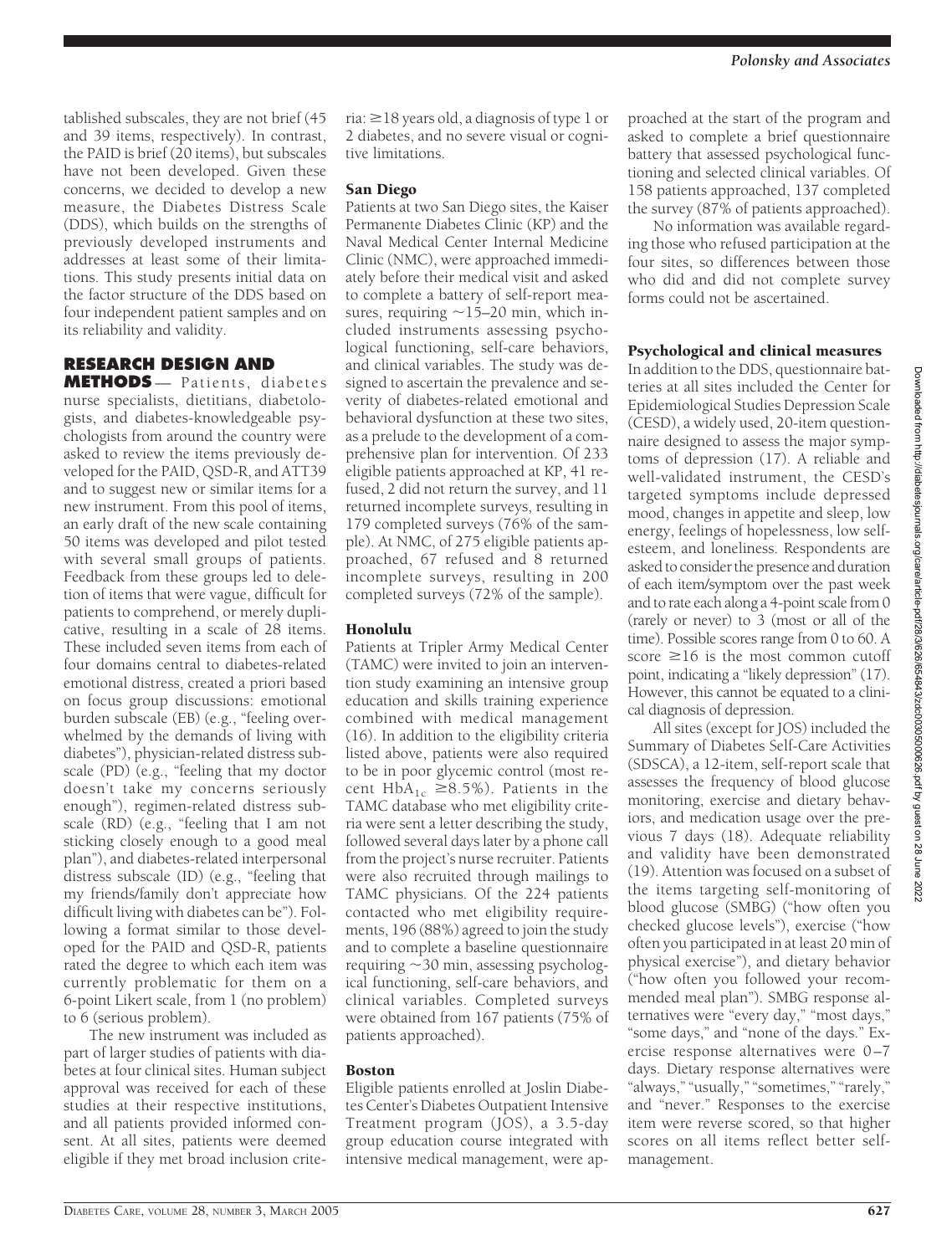tablished subscales, they are not brief (45 and 39 items, respectively). In contrast, the PAID is brief (20 items), but subscales have not been developed. Given these concerns, we decided to develop a new measure, the Diabetes Distress Scale (DDS), which builds on the strengths of previously developed instruments and addresses at least some of their limitations. This study presents initial data on the factor structure of the DDS based on four independent patient samples and on its reliability and validity.

# **RESEARCH DESIGN AND**

**METHODS** — Patients, diabetes nurse specialists, dietitians, diabetologists, and diabetes-knowledgeable psychologists from around the country were asked to review the items previously developed for the PAID, QSD-R, and ATT39 and to suggest new or similar items for a new instrument. From this pool of items, an early draft of the new scale containing 50 items was developed and pilot tested with several small groups of patients. Feedback from these groups led to deletion of items that were vague, difficult for patients to comprehend, or merely duplicative, resulting in a scale of 28 items. These included seven items from each of four domains central to diabetes-related emotional distress, created a priori based on focus group discussions: emotional burden subscale (EB) (e.g., "feeling overwhelmed by the demands of living with diabetes"), physician-related distress subscale (PD) (e.g., "feeling that my doctor doesn't take my concerns seriously enough"), regimen-related distress subscale (RD) (e.g., "feeling that I am not sticking closely enough to a good meal plan"), and diabetes-related interpersonal distress subscale (ID) (e.g., "feeling that my friends/family don't appreciate how difficult living with diabetes can be"). Following a format similar to those developed for the PAID and QSD-R, patients rated the degree to which each item was currently problematic for them on a 6-point Likert scale, from 1 (no problem) to 6 (serious problem).

The new instrument was included as part of larger studies of patients with diabetes at four clinical sites. Human subject approval was received for each of these studies at their respective institutions, and all patients provided informed consent. At all sites, patients were deemed eligible if they met broad inclusion crite-

ria:  $\geq$  18 years old, a diagnosis of type 1 or 2 diabetes, and no severe visual or cognitive limitations.

#### San Diego

Patients at two San Diego sites, the Kaiser Permanente Diabetes Clinic (KP) and the Naval Medical Center Internal Medicine Clinic (NMC), were approached immediately before their medical visit and asked to complete a battery of self-report measures, requiring  $\sim$ 15–20 min, which included instruments assessing psychological functioning, self-care behaviors, and clinical variables. The study was designed to ascertain the prevalence and severity of diabetes-related emotional and behavioral dysfunction at these two sites, as a prelude to the development of a comprehensive plan for intervention. Of 233 eligible patients approached at KP, 41 refused, 2 did not return the survey, and 11 returned incomplete surveys, resulting in 179 completed surveys (76% of the sample). At NMC, of 275 eligible patients approached, 67 refused and 8 returned incomplete surveys, resulting in 200 completed surveys (72% of the sample).

#### Honolulu

Patients at Tripler Army Medical Center (TAMC) were invited to join an intervention study examining an intensive group education and skills training experience combined with medical management (16). In addition to the eligibility criteria listed above, patients were also required to be in poor glycemic control (most recent  $HbA_{1c} \geq 8.5\%$ ). Patients in the TAMC database who met eligibility criteria were sent a letter describing the study, followed several days later by a phone call from the project's nurse recruiter. Patients were also recruited through mailings to TAMC physicians. Of the 224 patients contacted who met eligibility requirements, 196 (88%) agreed to join the study and to complete a baseline questionnaire requiring  $\sim$  30 min, assessing psychological functioning, self-care behaviors, and clinical variables. Completed surveys were obtained from 167 patients (75% of patients approached).

#### Boston

Eligible patients enrolled at Joslin Diabetes Center's Diabetes Outpatient Intensive Treatment program (JOS), a 3.5-day group education course integrated with intensive medical management, were ap-

proached at the start of the program and asked to complete a brief questionnaire battery that assessed psychological functioning and selected clinical variables. Of 158 patients approached, 137 completed the survey (87% of patients approached).

No information was available regarding those who refused participation at the four sites, so differences between those who did and did not complete survey forms could not be ascertained.

#### Psychological and clinical measures

In addition to the DDS, questionnaire batteries at all sites included the Center for Epidemiological Studies Depression Scale (CESD), a widely used, 20-item questionnaire designed to assess the major symptoms of depression (17). A reliable and well-validated instrument, the CESD's targeted symptoms include depressed mood, changes in appetite and sleep, low energy, feelings of hopelessness, low selfesteem, and loneliness. Respondents are asked to consider the presence and duration of each item/symptom over the past week and to rate each along a 4-point scale from 0 (rarely or never) to 3 (most or all of the time). Possible scores range from 0 to 60. A score  $\geq 16$  is the most common cutoff point, indicating a "likely depression" (17). However, this cannot be equated to a clinical diagnosis of depression.

All sites (except for JOS) included the Summary of Diabetes Self-Care Activities (SDSCA), a 12-item, self-report scale that assesses the frequency of blood glucose monitoring, exercise and dietary behaviors, and medication usage over the previous 7 days (18). Adequate reliability and validity have been demonstrated (19). Attention was focused on a subset of the items targeting self-monitoring of blood glucose (SMBG) ("how often you checked glucose levels"), exercise ("how often you participated in at least 20 min of physical exercise"), and dietary behavior ("how often you followed your recommended meal plan"). SMBG response alternatives were "every day," "most days," "some days," and "none of the days." Exercise response alternatives were 0–7 days. Dietary response alternatives were "always," "usually," "sometimes," "rarely," and "never." Responses to the exercise item were reverse scored, so that higher scores on all items reflect better selfmanagement.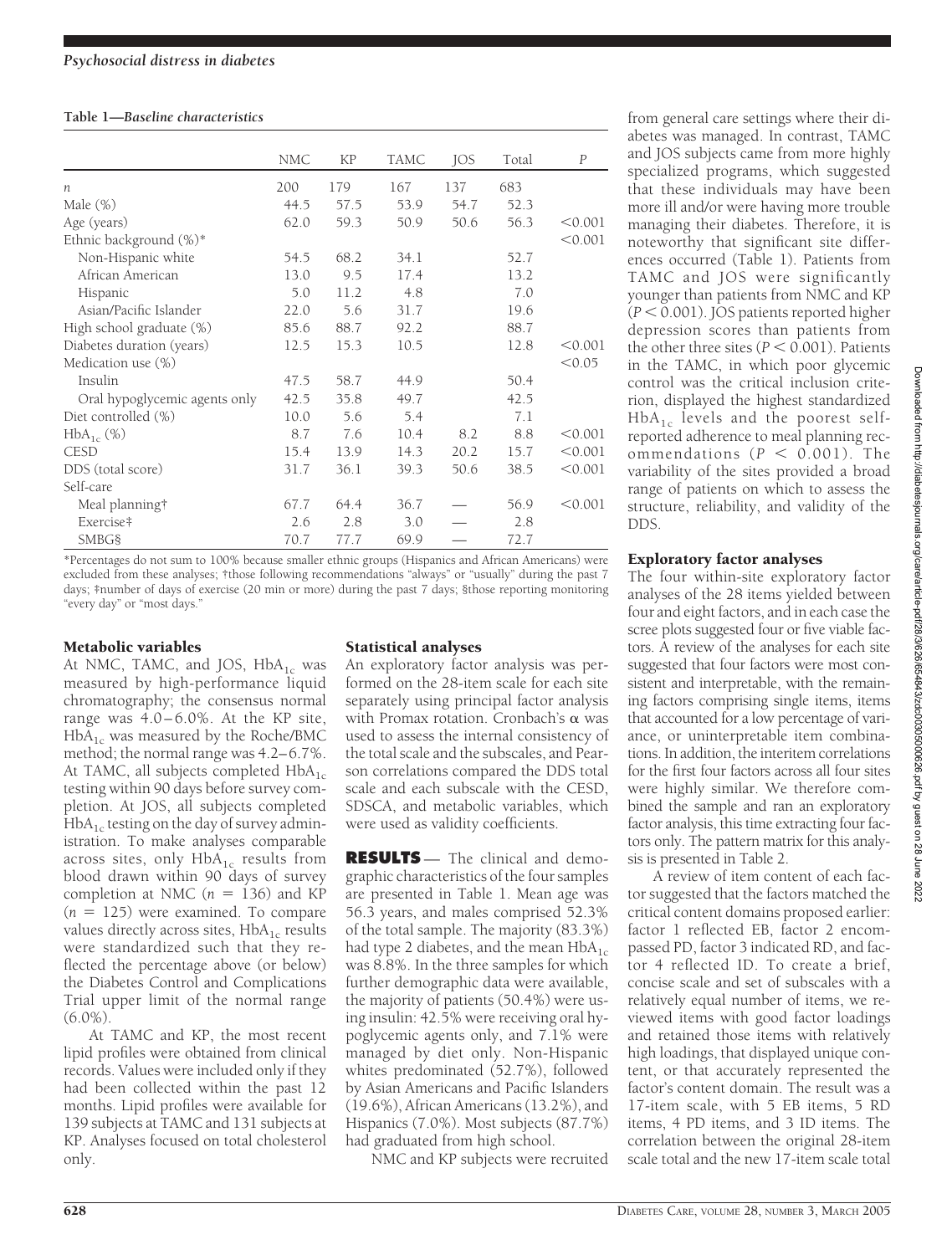#### **Table 1—***Baseline characteristics*

|                               | <b>NMC</b> | <b>KP</b> | <b>TAMC</b> | JOS  | Total | $\boldsymbol{P}$ |
|-------------------------------|------------|-----------|-------------|------|-------|------------------|
| $\boldsymbol{n}$              | 200        | 179       | 167         | 137  | 683   |                  |
| Male $(\%)$                   | 44.5       | 57.5      | 53.9        | 54.7 | 52.3  |                  |
| Age (years)                   | 62.0       | 59.3      | 50.9        | 50.6 | 56.3  | < 0.001          |
| Ethnic background (%)*        |            |           |             |      |       | < 0.001          |
| Non-Hispanic white            | 54.5       | 68.2      | 34.1        |      | 52.7  |                  |
| African American              | 13.0       | 9.5       | 17.4        |      | 13.2  |                  |
| Hispanic                      | 5.0        | 11.2      | 4.8         |      | 7.0   |                  |
| Asian/Pacific Islander        | 22.0       | 5.6       | 31.7        |      | 19.6  |                  |
| High school graduate (%)      | 85.6       | 88.7      | 92.2        |      | 88.7  |                  |
| Diabetes duration (years)     | 12.5       | 15.3      | 10.5        |      | 12.8  | < 0.001          |
| Medication use (%)            |            |           |             |      |       | < 0.05           |
| Insulin                       | 47.5       | 58.7      | 44.9        |      | 50.4  |                  |
| Oral hypoglycemic agents only | 42.5       | 35.8      | 49.7        |      | 42.5  |                  |
| Diet controlled (%)           | 10.0       | 5.6       | 5.4         |      | 7.1   |                  |
| $HbA_{1c}(\%)$                | 8.7        | 7.6       | 10.4        | 8.2  | 8.8   | < 0.001          |
| <b>CESD</b>                   | 15.4       | 13.9      | 14.3        | 20.2 | 15.7  | < 0.001          |
| DDS (total score)             | 31.7       | 36.1      | 39.3        | 50.6 | 38.5  | < 0.001          |
| Self-care                     |            |           |             |      |       |                  |
| Meal planning†                | 67.7       | 64.4      | 36.7        |      | 56.9  | < 0.001          |
| Exercise‡                     | 2.6        | 2.8       | 3.0         |      | 2.8   |                  |
| <b>SMBG§</b>                  | 70.7       | 77.7      | 69.9        |      | 72.7  |                  |

\*Percentages do not sum to 100% because smaller ethnic groups (Hispanics and African Americans) were excluded from these analyses; †those following recommendations "always" or "usually" during the past 7 days; ‡number of days of exercise (20 min or more) during the past 7 days; §those reporting monitoring "every day" or "most days."

#### Metabolic variables

At NMC, TAMC, and JOS,  $HbA_{1c}$  was measured by high-performance liquid chromatography; the consensus normal range was  $4.0-6.0\%$ . At the KP site,  $HbA_{1c}$  was measured by the Roche/BMC method; the normal range was 4.2–6.7%. At TAMC, all subjects completed  $HbA_{1c}$ testing within 90 days before survey completion. At JOS, all subjects completed  $HbA<sub>1c</sub>$  testing on the day of survey administration. To make analyses comparable across sites, only  $HbA_{1c}$  results from blood drawn within 90 days of survey completion at NMC  $(n = 136)$  and KP  $(n = 125)$  were examined. To compare values directly across sites,  $HbA_{1c}$  results were standardized such that they reflected the percentage above (or below) the Diabetes Control and Complications Trial upper limit of the normal range  $(6.0\%)$ 

At TAMC and KP, the most recent lipid profiles were obtained from clinical records. Values were included only if they had been collected within the past 12 months. Lipid profiles were available for 139 subjects at TAMC and 131 subjects at KP. Analyses focused on total cholesterol only.

## Statistical analyses

An exploratory factor analysis was performed on the 28-item scale for each site separately using principal factor analysis with Promax rotation. Cronbach's  $\alpha$  was used to assess the internal consistency of the total scale and the subscales, and Pearson correlations compared the DDS total scale and each subscale with the CESD, SDSCA, and metabolic variables, which were used as validity coefficients.

**RESULTS** — The clinical and demographic characteristics of the four samples are presented in Table 1. Mean age was 56.3 years, and males comprised 52.3% of the total sample. The majority (83.3%) had type 2 diabetes, and the mean  $HbA_{1c}$ was 8.8%. In the three samples for which further demographic data were available, the majority of patients (50.4%) were using insulin: 42.5% were receiving oral hypoglycemic agents only, and 7.1% were managed by diet only. Non-Hispanic whites predominated (52.7%), followed by Asian Americans and Pacific Islanders (19.6%), African Americans (13.2%), and Hispanics (7.0%). Most subjects (87.7%) had graduated from high school.

NMC and KP subjects were recruited

from general care settings where their diabetes was managed. In contrast, TAMC and JOS subjects came from more highly specialized programs, which suggested that these individuals may have been more ill and/or were having more trouble managing their diabetes. Therefore, it is noteworthy that significant site differences occurred (Table 1). Patients from TAMC and JOS were significantly younger than patients from NMC and KP  $(P < 0.001)$ . JOS patients reported higher depression scores than patients from the other three sites  $(P < 0.001)$ . Patients in the TAMC, in which poor glycemic control was the critical inclusion criterion, displayed the highest standardized  $HbA_{1c}$  levels and the poorest selfreported adherence to meal planning recommendations  $(P < 0.001)$ . The variability of the sites provided a broad range of patients on which to assess the structure, reliability, and validity of the DDS.

## Exploratory factor analyses

The four within-site exploratory factor analyses of the 28 items yielded between four and eight factors, and in each case the scree plots suggested four or five viable factors. A review of the analyses for each site suggested that four factors were most consistent and interpretable, with the remaining factors comprising single items, items that accounted for a low percentage of variance, or uninterpretable item combinations. In addition, the interitem correlations for the first four factors across all four sites were highly similar. We therefore combined the sample and ran an exploratory factor analysis, this time extracting four factors only. The pattern matrix for this analysis is presented in Table 2.

A review of item content of each factor suggested that the factors matched the critical content domains proposed earlier: factor 1 reflected EB, factor 2 encompassed PD, factor 3 indicated RD, and factor 4 reflected ID. To create a brief, concise scale and set of subscales with a relatively equal number of items, we reviewed items with good factor loadings and retained those items with relatively high loadings, that displayed unique content, or that accurately represented the factor's content domain. The result was a 17-item scale, with 5 EB items, 5 RD items, 4 PD items, and 3 ID items. The correlation between the original 28-item scale total and the new 17-item scale total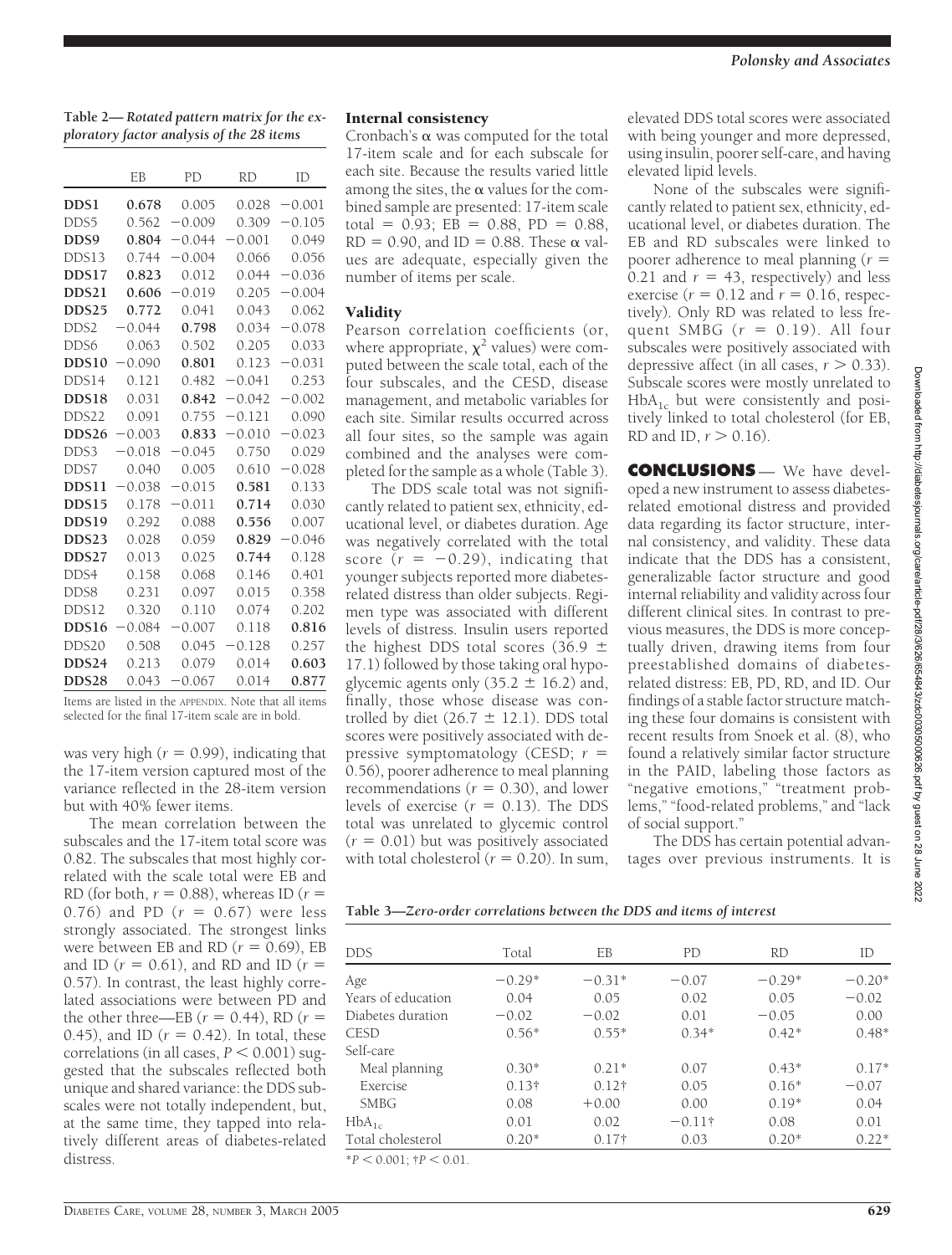**Table 2—** *Rotated pattern matrix for the exploratory factor analysis of the 28 items*

|                   | EB       | <b>PD</b> | <b>RD</b> | ID       |  |
|-------------------|----------|-----------|-----------|----------|--|
| DDS1              | 0.678    | 0.005     | 0.028     | $-0.001$ |  |
| DDS5              | 0.562    | $-0.009$  | 0.309     | $-0.105$ |  |
| DDS9              | 0.804    | $-0.044$  | $-0.001$  | 0.049    |  |
| DDS13             | 0.744    | $-0.004$  | 0.066     | 0.056    |  |
| DDS17             | 0.823    | 0.012     | 0.044     | $-0.036$ |  |
| DDS21             | 0.606    | $-0.019$  | 0.205     | $-0.004$ |  |
| DDS <sub>25</sub> | 0.772    | 0.041     | 0.043     | 0.062    |  |
| DDS <sub>2</sub>  | $-0.044$ | 0.798     | 0.034     | $-0.078$ |  |
| DDS6              | 0.063    | 0.502     | 0.205     | 0.033    |  |
| DDS <sub>10</sub> | $-0.090$ | 0.801     | 0.123     | $-0.031$ |  |
| DDS14             | 0.121    | 0.482     | $-0.041$  | 0.253    |  |
| DDS18             | 0.031    | 0.842     | $-0.042$  | $-0.002$ |  |
| DDS22             | 0.091    | 0.755     | $-0.121$  | 0.090    |  |
| DDS <sub>26</sub> | $-0.003$ | 0.833     | $-0.010$  | $-0.023$ |  |
| DDS3              | $-0.018$ | $-0.045$  | 0.750     | 0.029    |  |
| DDS7              | 0.040    | 0.005     | 0.610     | $-0.028$ |  |
| DDS11             | 0.038    | $-0.015$  | 0.581     | 0.133    |  |
| DDS15             | 0.178    | $-0.011$  | 0.714     | 0.030    |  |
| DDS19             | 0.292    | 0.088     | 0.556     | 0.007    |  |
| DDS23             | 0.028    | 0.059     | 0.829     | $-0.046$ |  |
| DDS27             | 0.013    | 0.025     | 0.744     | 0.128    |  |
| DDS4              | 0.158    | 0.068     | 0.146     | 0.401    |  |
| DDS8              | 0.231    | 0.097     | 0.015     | 0.358    |  |
| DDS12             | 0.320    | 0.110     | 0.074     | 0.202    |  |
| DDS16             | $-0.084$ | $-0.007$  | 0.118     | 0.816    |  |
| DDS20             | 0.508    | 0.045     | 0.128     | 0.257    |  |
| DDS24             | 0.213    | 0.079     | 0.014     | 0.603    |  |
| DDS <sub>28</sub> | 0.043    | $-0.067$  | 0.014     | 0.877    |  |

Items are listed in the APPENDIX. Note that all items selected for the final 17-item scale are in bold.

was very high  $(r = 0.99)$ , indicating that the 17-item version captured most of the variance reflected in the 28-item version but with 40% fewer items.

The mean correlation between the subscales and the 17-item total score was 0.82. The subscales that most highly correlated with the scale total were EB and RD (for both,  $r = 0.88$ ), whereas ID ( $r =$ 0.76) and PD  $(r = 0.67)$  were less strongly associated. The strongest links were between EB and RD  $(r = 0.69)$ , EB and ID  $(r = 0.61)$ , and RD and ID  $(r =$ 0.57). In contrast, the least highly correlated associations were between PD and the other three—EB  $(r = 0.44)$ , RD  $(r =$ 0.45), and ID  $(r = 0.42)$ . In total, these correlations (in all cases,  $P < 0.001$ ) suggested that the subscales reflected both unique and shared variance: the DDS subscales were not totally independent, but, at the same time, they tapped into relatively different areas of diabetes-related distress.

#### Internal consistency

Cronbach's  $\alpha$  was computed for the total 17-item scale and for each subscale for each site. Because the results varied little among the sites, the  $\alpha$  values for the combined sample are presented: 17-item scale total =  $0.93$ ; EB =  $0.88$ , PD =  $0.88$ ,  $RD = 0.90$ , and  $ID = 0.88$ . These  $\alpha$  values are adequate, especially given the number of items per scale.

#### Validity

Pearson correlation coefficients (or, where appropriate,  $\chi^2$  values) were computed between the scale total, each of the four subscales, and the CESD, disease management, and metabolic variables for each site. Similar results occurred across all four sites, so the sample was again combined and the analyses were completed for the sample as a whole (Table 3).

The DDS scale total was not significantly related to patient sex, ethnicity, educational level, or diabetes duration. Age was negatively correlated with the total score  $(r = -0.29)$ , indicating that younger subjects reported more diabetesrelated distress than older subjects. Regimen type was associated with different levels of distress. Insulin users reported the highest DDS total scores (36.9  $\pm$ 17.1) followed by those taking oral hypoglycemic agents only  $(35.2 \pm 16.2)$  and, finally, those whose disease was controlled by diet (26.7  $\pm$  12.1). DDS total scores were positively associated with depressive symptomatology (CESD; *r* 0.56), poorer adherence to meal planning recommendations ( $r = 0.30$ ), and lower levels of exercise  $(r = 0.13)$ . The DDS total was unrelated to glycemic control  $(r = 0.01)$  but was positively associated with total cholesterol  $(r = 0.20)$ . In sum,

elevated DDS total scores were associated with being younger and more depressed, using insulin, poorer self-care, and having elevated lipid levels.

None of the subscales were significantly related to patient sex, ethnicity, educational level, or diabetes duration. The EB and RD subscales were linked to poorer adherence to meal planning (*r* 0.21 and  $r = 43$ , respectively) and less exercise ( $r = 0.12$  and  $r = 0.16$ , respectively). Only RD was related to less frequent SMBG  $(r = 0.19)$ . All four subscales were positively associated with depressive affect (in all cases,  $r > 0.33$ ). Subscale scores were mostly unrelated to  $HbA_{1c}$  but were consistently and positively linked to total cholesterol (for EB, RD and ID,  $r > 0.16$ ).

**CONCLUSIONS** — We have developed a new instrument to assess diabetesrelated emotional distress and provided data regarding its factor structure, internal consistency, and validity. These data indicate that the DDS has a consistent, generalizable factor structure and good internal reliability and validity across four different clinical sites. In contrast to previous measures, the DDS is more conceptually driven, drawing items from four preestablished domains of diabetesrelated distress: EB, PD, RD, and ID. Our findings of a stable factor structure matching these four domains is consistent with recent results from Snoek et al. (8), who found a relatively similar factor structure in the PAID, labeling those factors as "negative emotions," "treatment problems," "food-related problems," and "lack of social support."

The DDS has certain potential advantages over previous instruments. It is

**Table 3—***Zero-order correlations between the DDS and items of interest*

| <b>DDS</b>         | Total         | EB            | PD             | <b>RD</b> | ID       |
|--------------------|---------------|---------------|----------------|-----------|----------|
| Age                | $-0.29*$      | $-0.31*$      | $-0.07$        | $-0.29*$  | $-0.20*$ |
| Years of education | 0.04          | 0.05          | 0.02           | 0.05      | $-0.02$  |
| Diabetes duration  | $-0.02$       | $-0.02$       | 0.01           | $-0.05$   | 0.00     |
| <b>CESD</b>        | $0.56*$       | $0.55*$       | $0.34*$        | $0.42*$   | $0.48*$  |
| Self-care          |               |               |                |           |          |
| Meal planning      | $0.30*$       | $0.21*$       | 0.07           | $0.43*$   | $0.17*$  |
| Exercise           | $0.13\dagger$ | $0.12\dagger$ | 0.05           | $0.16*$   | $-0.07$  |
| <b>SMBG</b>        | 0.08          | $+0.00$       | 0.00           | $0.19*$   | 0.04     |
| $HbA_{1c}$         | 0.01          | 0.02          | $-0.11\dagger$ | 0.08      | 0.01     |
| Total cholesterol  | $0.20*$       | $0.17\dagger$ | 0.03           | $0.20*$   | $0.22*$  |
|                    |               |               |                |           |          |

 $*P < 0.001$ ;  $\uparrow P < 0.01$ .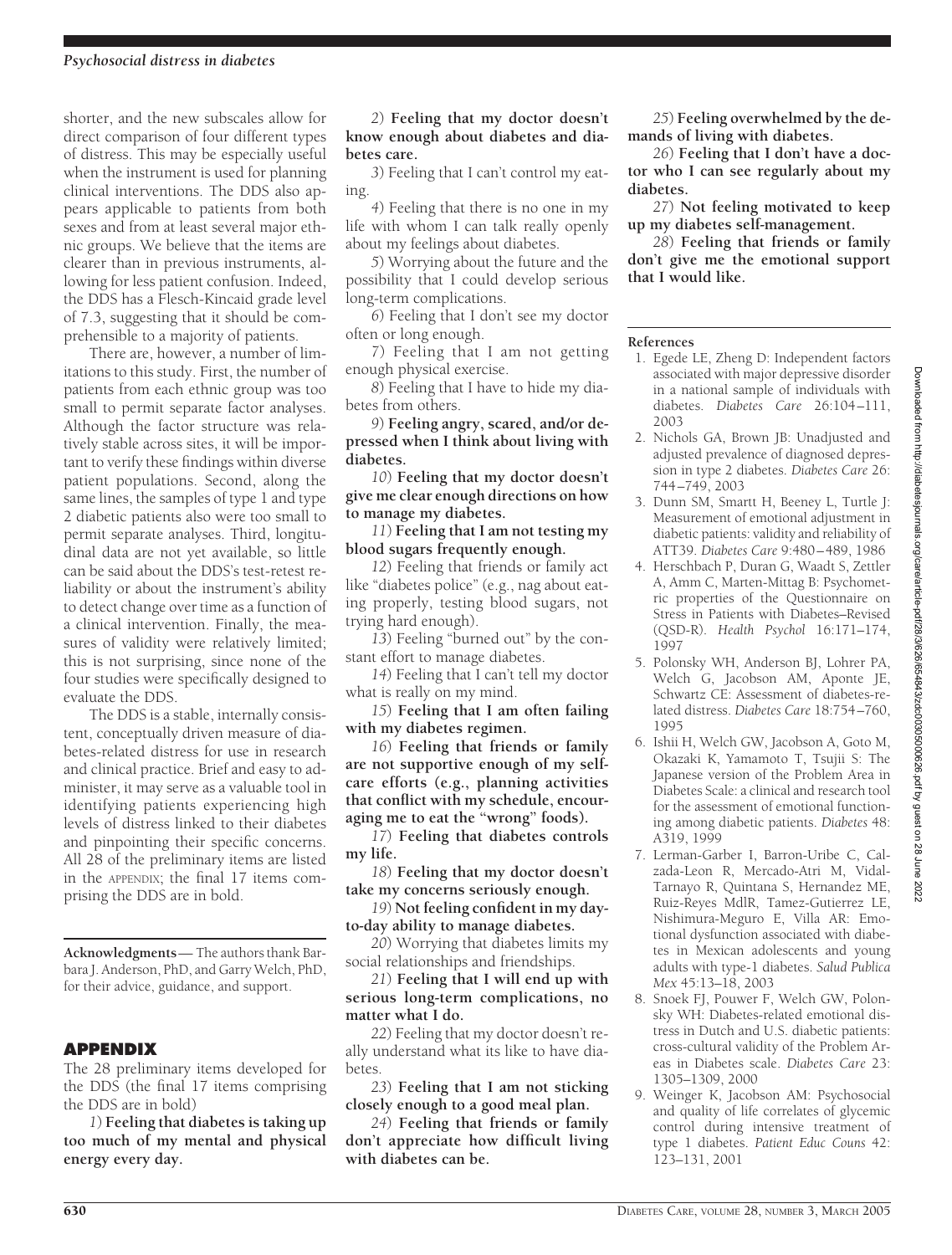#### *Psychosocial distress in diabetes*

shorter, and the new subscales allow for direct comparison of four different types of distress. This may be especially useful when the instrument is used for planning clinical interventions. The DDS also appears applicable to patients from both sexes and from at least several major ethnic groups. We believe that the items are clearer than in previous instruments, allowing for less patient confusion. Indeed, the DDS has a Flesch-Kincaid grade level of 7.3, suggesting that it should be comprehensible to a majority of patients.

There are, however, a number of limitations to this study. First, the number of patients from each ethnic group was too small to permit separate factor analyses. Although the factor structure was relatively stable across sites, it will be important to verify these findings within diverse patient populations. Second, along the same lines, the samples of type 1 and type 2 diabetic patients also were too small to permit separate analyses. Third, longitudinal data are not yet available, so little can be said about the DDS's test-retest reliability or about the instrument's ability to detect change over time as a function of a clinical intervention. Finally, the measures of validity were relatively limited; this is not surprising, since none of the four studies were specifically designed to evaluate the DDS.

The DDS is a stable, internally consistent, conceptually driven measure of diabetes-related distress for use in research and clinical practice. Brief and easy to administer, it may serve as a valuable tool in identifying patients experiencing high levels of distress linked to their diabetes and pinpointing their specific concerns. All 28 of the preliminary items are listed in the APPENDIX; the final 17 items comprising the DDS are in bold.

**Acknowledgments**— The authors thank Barbara J. Anderson, PhD, and Garry Welch, PhD, for their advice, guidance, and support.

#### **APPENDIX**

The 28 preliminary items developed for the DDS (the final 17 items comprising the DDS are in bold)

*1*) **Feeling that diabetes is taking up too much of my mental and physical energy every day.**

*2*) **Feeling that my doctor doesn't know enough about diabetes and diabetes care.**

*3*) Feeling that I can't control my eating.

*4*) Feeling that there is no one in my life with whom I can talk really openly about my feelings about diabetes.

*5*) Worrying about the future and the possibility that I could develop serious long-term complications.

*6*) Feeling that I don't see my doctor often or long enough.

*7*) Feeling that I am not getting enough physical exercise.

*8*) Feeling that I have to hide my diabetes from others.

*9*) **Feeling angry, scared, and/or depressed when I think about living with diabetes.**

*10*) **Feeling that my doctor doesn't give me clear enough directions on how to manage my diabetes.**

*11*) **Feeling that I am not testing my blood sugars frequently enough.**

*12*) Feeling that friends or family act like "diabetes police" (e.g., nag about eating properly, testing blood sugars, not trying hard enough).

*13*) Feeling "burned out" by the constant effort to manage diabetes.

*14*) Feeling that I can't tell my doctor what is really on my mind.

*15*) **Feeling that I am often failing with my diabetes regimen.**

*16*) **Feeling that friends or family are not supportive enough of my selfcare efforts (e.g., planning activities that conflict with my schedule, encouraging me to eat the "wrong" foods).**

*17*) **Feeling that diabetes controls my life.**

*18*) **Feeling that my doctor doesn't take my concerns seriously enough.**

*19*) **Not feeling confident in my dayto-day ability to manage diabetes.**

*20*) Worrying that diabetes limits my social relationships and friendships.

*21*) **Feeling that I will end up with serious long-term complications, no matter what I do.**

*22*) Feeling that my doctor doesn't really understand what its like to have diabetes.

*23*) **Feeling that I am not sticking closely enough to a good meal plan.**

*24*) **Feeling that friends or family don't appreciate how difficult living with diabetes can be.**

*25*) **Feeling overwhelmed by the demands of living with diabetes.**

*26*) **Feeling that I don't have a doctor who I can see regularly about my diabetes.**

*27*) **Not feeling motivated to keep up my diabetes self-management.**

*28*) **Feeling that friends or family don't give me the emotional support that I would like.**

#### **References**

- 1. Egede LE, Zheng D: Independent factors associated with major depressive disorder in a national sample of individuals with diabetes. *Diabetes Care* 26:104–111, 2003
- 2. Nichols GA, Brown JB: Unadjusted and adjusted prevalence of diagnosed depression in type 2 diabetes. *Diabetes Care* 26: 744–749, 2003
- 3. Dunn SM, Smartt H, Beeney L, Turtle J: Measurement of emotional adjustment in diabetic patients: validity and reliability of ATT39. *Diabetes Care* 9:480–489, 1986
- 4. Herschbach P, Duran G, Waadt S, Zettler A, Amm C, Marten-Mittag B: Psychometric properties of the Questionnaire on Stress in Patients with Diabetes–Revised (QSD-R). *Health Psychol* 16:171–174, 1997
- 5. Polonsky WH, Anderson BJ, Lohrer PA, Welch G, Jacobson AM, Aponte JE, Schwartz CE: Assessment of diabetes-related distress. *Diabetes Care* 18:754–760, 1995
- 6. Ishii H, Welch GW, Jacobson A, Goto M, Okazaki K, Yamamoto T, Tsujii S: The Japanese version of the Problem Area in Diabetes Scale: a clinical and research tool for the assessment of emotional functioning among diabetic patients. *Diabetes* 48: A319, 1999
- 7. Lerman-Garber I, Barron-Uribe C, Calzada-Leon R, Mercado-Atri M, Vidal-Tarnayo R, Quintana S, Hernandez ME, Ruiz-Reyes MdlR, Tamez-Gutierrez LE, Nishimura-Meguro E, Villa AR: Emotional dysfunction associated with diabetes in Mexican adolescents and young adults with type-1 diabetes. *Salud Publica Mex* 45:13–18, 2003
- 8. Snoek FJ, Pouwer F, Welch GW, Polonsky WH: Diabetes-related emotional distress in Dutch and U.S. diabetic patients: cross-cultural validity of the Problem Areas in Diabetes scale. *Diabetes Care* 23: 1305–1309, 2000
- 9. Weinger K, Jacobson AM: Psychosocial and quality of life correlates of glycemic control during intensive treatment of type 1 diabetes. *Patient Educ Couns* 42: 123–131, 2001